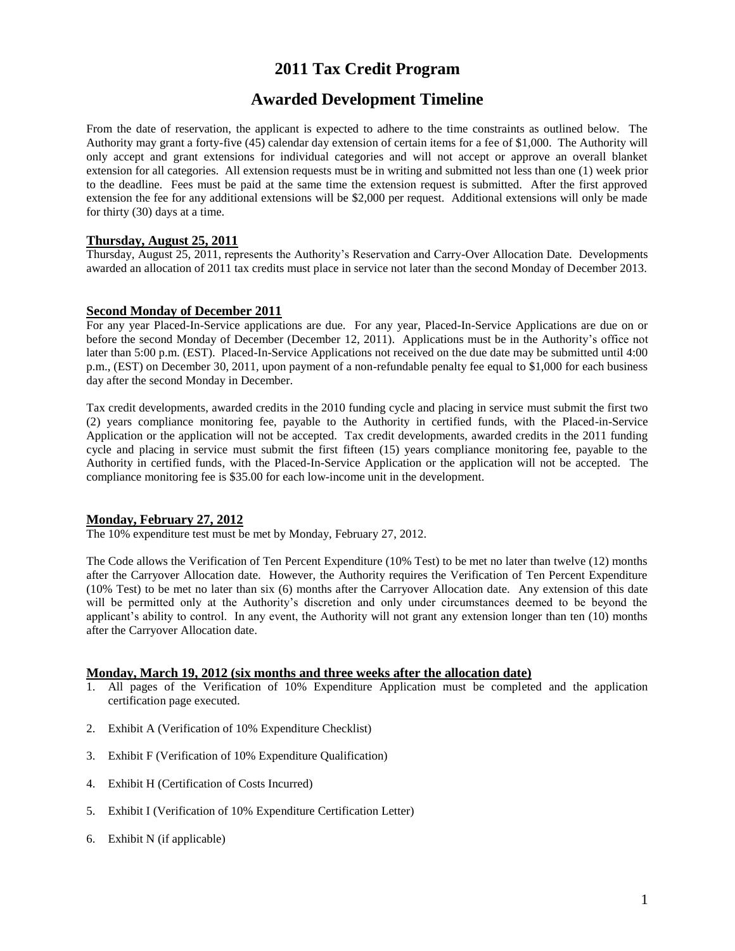# **2011 Tax Credit Program**

# **Awarded Development Timeline**

From the date of reservation, the applicant is expected to adhere to the time constraints as outlined below. The Authority may grant a forty-five (45) calendar day extension of certain items for a fee of \$1,000. The Authority will only accept and grant extensions for individual categories and will not accept or approve an overall blanket extension for all categories. All extension requests must be in writing and submitted not less than one (1) week prior to the deadline. Fees must be paid at the same time the extension request is submitted. After the first approved extension the fee for any additional extensions will be \$2,000 per request. Additional extensions will only be made for thirty (30) days at a time.

## **Thursday, August 25, 2011**

Thursday, August 25, 2011, represents the Authority's Reservation and Carry-Over Allocation Date. Developments awarded an allocation of 2011 tax credits must place in service not later than the second Monday of December 2013.

#### **Second Monday of December 2011**

For any year Placed-In-Service applications are due. For any year, Placed-In-Service Applications are due on or before the second Monday of December (December 12, 2011). Applications must be in the Authority's office not later than 5:00 p.m. (EST). Placed-In-Service Applications not received on the due date may be submitted until 4:00 p.m., (EST) on December 30, 2011, upon payment of a non-refundable penalty fee equal to \$1,000 for each business day after the second Monday in December.

Tax credit developments, awarded credits in the 2010 funding cycle and placing in service must submit the first two (2) years compliance monitoring fee, payable to the Authority in certified funds, with the Placed-in-Service Application or the application will not be accepted. Tax credit developments, awarded credits in the 2011 funding cycle and placing in service must submit the first fifteen (15) years compliance monitoring fee, payable to the Authority in certified funds, with the Placed-In-Service Application or the application will not be accepted. The compliance monitoring fee is \$35.00 for each low-income unit in the development.

#### **Monday, February 27, 2012**

The 10% expenditure test must be met by Monday, February 27, 2012.

The Code allows the Verification of Ten Percent Expenditure (10% Test) to be met no later than twelve (12) months after the Carryover Allocation date. However, the Authority requires the Verification of Ten Percent Expenditure (10% Test) to be met no later than six (6) months after the Carryover Allocation date.Any extension of this date will be permitted only at the Authority's discretion and only under circumstances deemed to be beyond the applicant's ability to control. In any event, the Authority will not grant any extension longer than ten (10) months after the Carryover Allocation date.

## **Monday, March 19, 2012 (six months and three weeks after the allocation date)**

- 1. All pages of the Verification of 10% Expenditure Application must be completed and the application certification page executed.
- 2. Exhibit A (Verification of 10% Expenditure Checklist)
- 3. Exhibit F (Verification of 10% Expenditure Qualification)
- 4. Exhibit H (Certification of Costs Incurred)
- 5. Exhibit I (Verification of 10% Expenditure Certification Letter)
- 6. Exhibit N (if applicable)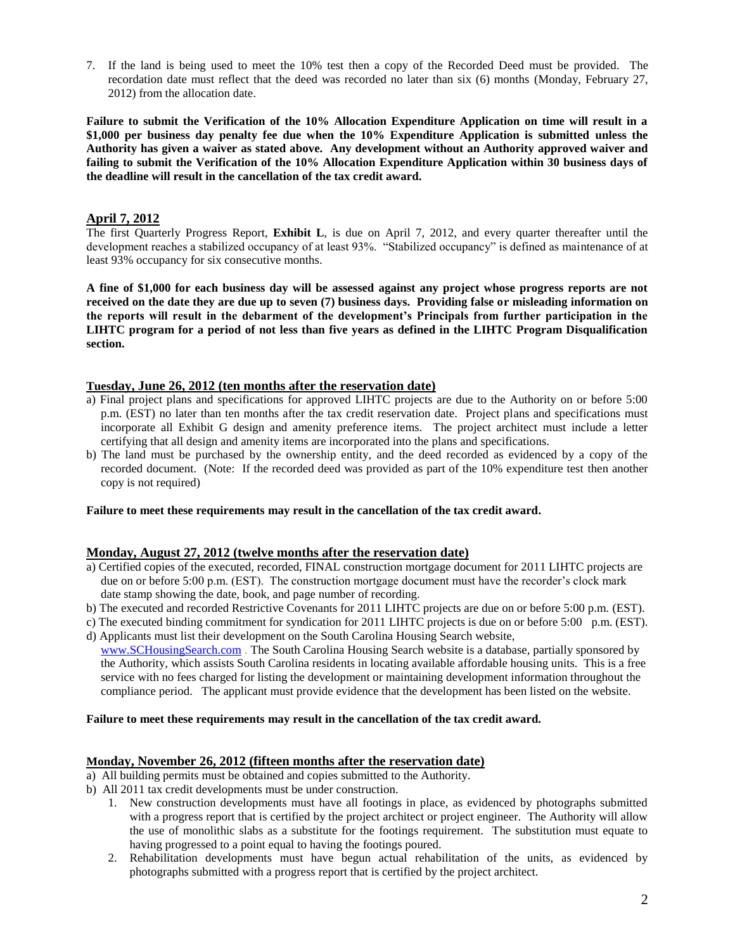7. If the land is being used to meet the 10% test then a copy of the Recorded Deed must be provided. The recordation date must reflect that the deed was recorded no later than six (6) months (Monday, February 27, 2012) from the allocation date.

**Failure to submit the Verification of the 10% Allocation Expenditure Application on time will result in a \$1,000 per business day penalty fee due when the 10% Expenditure Application is submitted unless the Authority has given a waiver as stated above. Any development without an Authority approved waiver and failing to submit the Verification of the 10% Allocation Expenditure Application within 30 business days of the deadline will result in the cancellation of the tax credit award.**

# **April 7, 2012**

The first Quarterly Progress Report, **Exhibit L**, is due on April 7, 2012, and every quarter thereafter until the development reaches a stabilized occupancy of at least 93%. "Stabilized occupancy" is defined as maintenance of at least 93% occupancy for six consecutive months.

**A fine of \$1,000 for each business day will be assessed against any project whose progress reports are not received on the date they are due up to seven (7) business days. Providing false or misleading information on the reports will result in the debarment of the development's Principals from further participation in the LIHTC program for a period of not less than five years as defined in the LIHTC Program Disqualification section.**

## **Tuesday, June 26, 2012 (ten months after the reservation date)**

- a) Final project plans and specifications for approved LIHTC projects are due to the Authority on or before 5:00 p.m. (EST) no later than ten months after the tax credit reservation date. Project plans and specifications must incorporate all Exhibit G design and amenity preference items. The project architect must include a letter certifying that all design and amenity items are incorporated into the plans and specifications.
- b) The land must be purchased by the ownership entity, and the deed recorded as evidenced by a copy of the recorded document. (Note: If the recorded deed was provided as part of the 10% expenditure test then another copy is not required)

## **Failure to meet these requirements may result in the cancellation of the tax credit award.**

## **Monday, August 27, 2012 (twelve months after the reservation date)**

- a) Certified copies of the executed, recorded, FINAL construction mortgage document for 2011 LIHTC projects are due on or before 5:00 p.m. (EST). The construction mortgage document must have the recorder's clock mark date stamp showing the date, book, and page number of recording.
- b) The executed and recorded Restrictive Covenants for 2011 LIHTC projects are due on or before 5:00 p.m. (EST).
- c) The executed binding commitment for syndication for 2011 LIHTC projects is due on or before 5:00 p.m. (EST). d) Applicants must list their development on the South Carolina Housing Search website,
- [www.SCHousingSearch.com](http://www.schousingsearch.com/) . The South Carolina Housing Search website is a database, partially sponsored by the Authority, which assists South Carolina residents in locating available affordable housing units. This is a free service with no fees charged for listing the development or maintaining development information throughout the compliance period. The applicant must provide evidence that the development has been listed on the website.

#### **Failure to meet these requirements may result in the cancellation of the tax credit award.**

## **Monday, November 26, 2012 (fifteen months after the reservation date)**

- a) All building permits must be obtained and copies submitted to the Authority.
- b) All 2011 tax credit developments must be under construction.
	- 1. New construction developments must have all footings in place, as evidenced by photographs submitted with a progress report that is certified by the project architect or project engineer. The Authority will allow the use of monolithic slabs as a substitute for the footings requirement. The substitution must equate to having progressed to a point equal to having the footings poured.
	- 2. Rehabilitation developments must have begun actual rehabilitation of the units, as evidenced by photographs submitted with a progress report that is certified by the project architect.